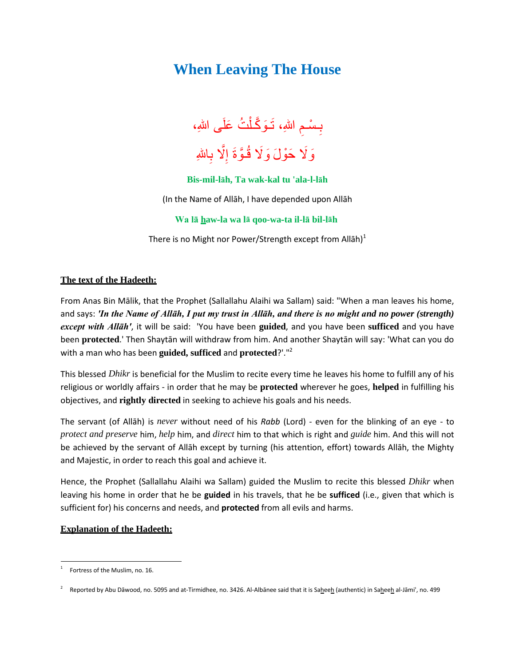## **When Leaving The House**



## **Bis-mil-lāh, Ta wak-kal tu 'ala-l-lāh**

(In the Name of Allāh, I have depended upon Allāh

**Wa lā haw-la wa lā qoo-wa-ta il-lā bil-lāh**

There is no Might nor Power/Strength except from Allah)<sup>1</sup>

## **The text of the Hadeeth:**

From Anas Bin Mālik, that the Prophet (Sallallahu Alaihi wa Sallam) said: "When a man leaves his home, and says: *'In the Name of Allāh, I put my trust in Allāh, and there is no might and no power (strength) except with Allāh'*, it will be said: 'You have been **guided**, and you have been **sufficed** and you have been **protected**.' Then Shaytān will withdraw from him. And another Shaytān will say: 'What can you do with a man who has been **guided, sufficed** and **protected**?'."<sup>2</sup>

This blessed *Dhikr* is beneficial for the Muslim to recite every time he leaves his home to fulfill any of his religious or worldly affairs - in order that he may be **protected** wherever he goes, **helped** in fulfilling his objectives, and **rightly directed** in seeking to achieve his goals and his needs.

The servant (of Allāh) is *never* without need of his *Rabb* (Lord) - even for the blinking of an eye - to *protect and preserve* him, *help* him, and *direct* him to that which is right and *guide* him. And this will not be achieved by the servant of Allāh except by turning (his attention, effort) towards Allāh, the Mighty and Majestic, in order to reach this goal and achieve it.

Hence, the Prophet (Sallallahu Alaihi wa Sallam) guided the Muslim to recite this blessed *Dhikr* when leaving his home in order that he be **guided** in his travels, that he be **sufficed** (i.e., given that which is sufficient for) his concerns and needs, and **protected** from all evils and harms.

## **Explanation of the Hadeeth:**

 $\overline{a}$ 

<sup>1</sup> Fortress of the Muslim, no. 16.

<sup>2</sup> Reported by Abu Dāwood, no. 5095 and at-Tirmidhee, no. 3426. Al-Albānee said that it is Saheeh (authentic) in Saheeh al-Jāmi', no. 499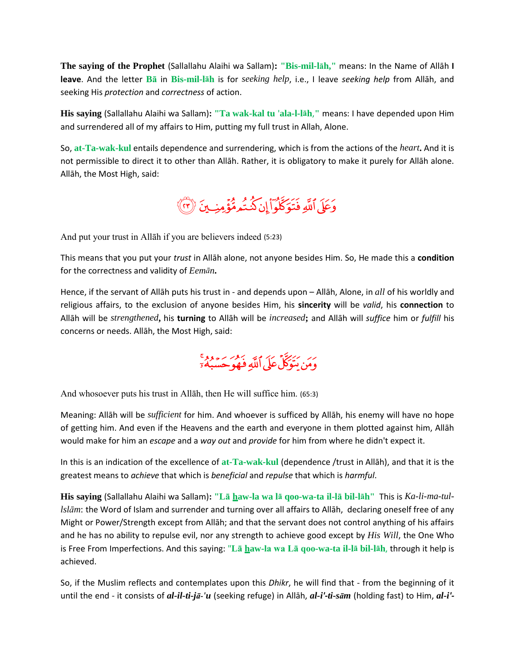**The saying of the Prophet** (Sallallahu Alaihi wa Sallam)**: "Bis-mil-lāh,"** means: In the Name of Allāh **I leave**. And the letter **Bā** in **Bis-mil-lāh** is for *seeking help*, i.e., I leave *seeking help* from Allāh, and seeking His *protection* and *correctness* of action.

**His saying** (Sallallahu Alaihi wa Sallam)**: "Ta wak-kal tu** '**ala-l-lāh**,**"** means: I have depended upon Him and surrendered all of my affairs to Him, putting my full trust in Allah, Alone.

So, **at-Ta-wak-kul** entails dependence and surrendering, which is from the actions of the *heart***.** And it is not permissible to direct it to other than Allāh. Rather, it is obligatory to make it purely for Allāh alone. Allāh, the Most High, said:

وَعَلَى ٱللَّهِ فَتَوَكَّلُواْ إِن كُنتُمومُّؤْمِنِ بِنَ ۚ (٣)

And put your trust in Allāh if you are believers indeed (5:23)

This means that you put your *trust* in Allāh alone, not anyone besides Him. So, He made this a **condition** for the correctness and validity of *Eemān***.**

Hence, if the servant of Allāh puts his trust in - and depends upon – Allāh, Alone, in *all* of his worldly and religious affairs, to the exclusion of anyone besides Him, his **sincerity** will be *valid*, his **connection** to Allāh will be *strengthened***,** his **turning** to Allāh will be *increased***;** and Allāh will *suffice* him or *fulfill* his concerns or needs. Allāh, the Most High, said:

بر پر سر ہے ہیں ۔<br>ومن متوکل علی اللّٰہِ فوجو حسبہ ہ

And whosoever puts his trust in Allāh, then He will suffice him. (65:3)

Meaning: Allāh will be *sufficient* for him. And whoever is sufficed by Allāh, his enemy will have no hope of getting him. And even if the Heavens and the earth and everyone in them plotted against him, Allāh would make for him an *escape* and a *way out* and *provide* for him from where he didn't expect it.

In this is an indication of the excellence of **at-Ta-wak-kul** (dependence /trust in Allāh), and that it is the greatest means to *achieve* that which is *beneficial* and *repulse* that which is *harmful*.

**His saying** (Sallallahu Alaihi wa Sallam)**: "Lā haw-la wa lā qoo-wa-ta il-lā bil-lāh"** This is *Ka-li-ma-tullslām*: the Word of Islam and surrender and turning over all affairs to Allāh, declaring oneself free of any Might or Power/Strength except from Allāh; and that the servant does not control anything of his affairs and he has no ability to repulse evil, nor any strength to achieve good except by *His Will*, the One Who is Free From Imperfections. And this saying: "**Lā haw-la wa Lā qoo-wa-ta il-lā bil-lāh**, through it help is achieved.

So, if the Muslim reflects and contemplates upon this *Dhikr*, he will find that - from the beginning of it until the end - it consists of *al-il-ti-jā-'u* (seeking refuge) in Allāh, *al-i'-ti-sām* (holding fast) to Him, *al-i'-*